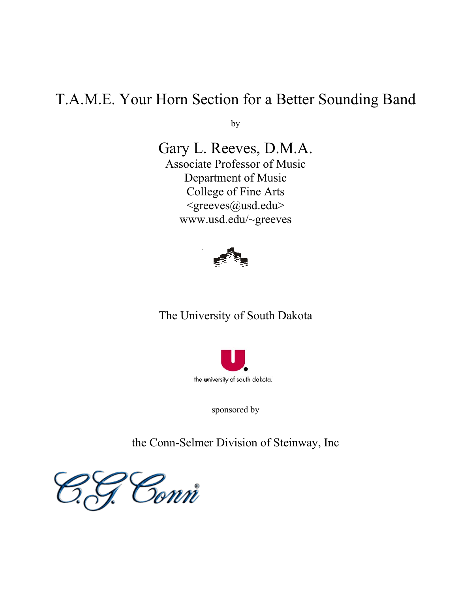# T.A.M.E. Your Horn Section for a Better Sounding Band

by

Gary L. Reeves, D.M.A. Associate Professor of Music Department of Music College of Fine Arts <greeves@usd.edu> www.usd.edu/~greeves



# The University of South Dakota



sponsored by

the Conn-Selmer Division of Steinway, Inc

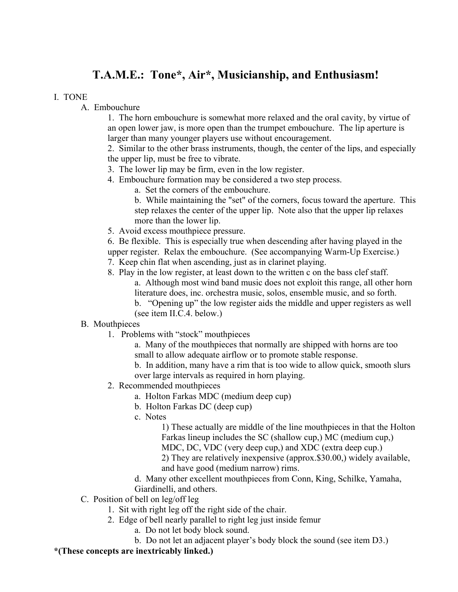# **T.A.M.E.: Tone\*, Air\*, Musicianship, and Enthusiasm!**

#### I. TONE

A. Embouchure

1. The horn embouchure is somewhat more relaxed and the oral cavity, by virtue of an open lower jaw, is more open than the trumpet embouchure. The lip aperture is larger than many younger players use without encouragement.

2. Similar to the other brass instruments, though, the center of the lips, and especially the upper lip, must be free to vibrate.

- 3. The lower lip may be firm, even in the low register.
- 4. Embouchure formation may be considered a two step process.
	- a. Set the corners of the embouchure.

b. While maintaining the "set" of the corners, focus toward the aperture. This step relaxes the center of the upper lip. Note also that the upper lip relaxes more than the lower lip.

5. Avoid excess mouthpiece pressure.

6. Be flexible. This is especially true when descending after having played in the upper register. Relax the embouchure. (See accompanying Warm-Up Exercise.)

- 7. Keep chin flat when ascending, just as in clarinet playing.
- 8. Play in the low register, at least down to the written c on the bass clef staff. a. Although most wind band music does not exploit this range, all other horn literature does, inc. orchestra music, solos, ensemble music, and so forth.
	- b. "Opening up" the low register aids the middle and upper registers as well (see item II.C.4. below.)

### B. Mouthpieces

1. Problems with "stock" mouthpieces

a. Many of the mouthpieces that normally are shipped with horns are too small to allow adequate airflow or to promote stable response.

b. In addition, many have a rim that is too wide to allow quick, smooth slurs over large intervals as required in horn playing.

- 2. Recommended mouthpieces
	- a. Holton Farkas MDC (medium deep cup)
	- b. Holton Farkas DC (deep cup)
	- c. Notes

1) These actually are middle of the line mouthpieces in that the Holton Farkas lineup includes the SC (shallow cup,) MC (medium cup,) MDC, DC, VDC (very deep cup,) and XDC (extra deep cup.) 2) They are relatively inexpensive (approx.\$30.00,) widely available, and have good (medium narrow) rims.

d. Many other excellent mouthpieces from Conn, King, Schilke, Yamaha, Giardinelli, and others.

- C. Position of bell on leg/off leg
	- 1. Sit with right leg off the right side of the chair.
	- 2. Edge of bell nearly parallel to right leg just inside femur
		- a. Do not let body block sound.

b. Do not let an adjacent player's body block the sound (see item D3.)

### **\*(These concepts are inextricably linked.)**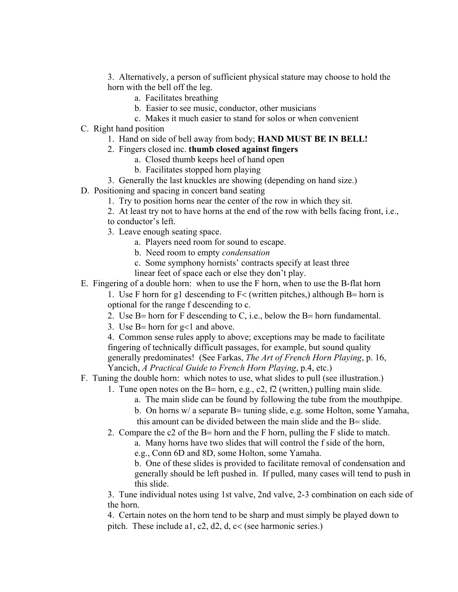3. Alternatively, a person of sufficient physical stature may choose to hold the horn with the bell off the leg.

- a. Facilitates breathing
- b. Easier to see music, conductor, other musicians
- c. Makes it much easier to stand for solos or when convenient
- C. Right hand position
	- 1. Hand on side of bell away from body; **HAND MUST BE IN BELL!**
	- 2. Fingers closed inc. **thumb closed against fingers**
		- a. Closed thumb keeps heel of hand open
		- b. Facilitates stopped horn playing
	- 3. Generally the last knuckles are showing (depending on hand size.)
- D. Positioning and spacing in concert band seating
	- 1. Try to position horns near the center of the row in which they sit.
	- 2. At least try not to have horns at the end of the row with bells facing front, i.e.,
	- to conductor's left.
	- 3. Leave enough seating space.
		- a. Players need room for sound to escape.
		- b. Need room to empty *condensation*
		- c. Some symphony hornists' contracts specify at least three
		- linear feet of space each or else they don't play.
- E. Fingering of a double horn: when to use the F horn, when to use the B-flat horn

1. Use F horn for g1 descending to  $F<$  (written pitches,) although B= horn is optional for the range f descending to c.

- 2. Use B= horn for F descending to C, i.e., below the B= horn fundamental.
- 3. Use B= horn for g<1 and above.

 4. Common sense rules apply to above; exceptions may be made to facilitate fingering of technically difficult passages, for example, but sound quality generally predominates! (See Farkas, *The Art of French Horn Playing*, p. 16, Yancich, *A Practical Guide to French Horn Playing*, p.4, etc.)

- F. Tuning the double horn: which notes to use, what slides to pull (see illustration.)
	- 1. Tune open notes on the B= horn, e.g., c2, f2 (written,) pulling main slide.
		- a. The main slide can be found by following the tube from the mouthpipe.
		- b. On horns w/ a separate B= tuning slide, e.g. some Holton, some Yamaha, this amount can be divided between the main slide and the B= slide.
	- 2. Compare the c2 of the B= horn and the F horn, pulling the F slide to match.

a. Many horns have two slides that will control the f side of the horn,

e.g., Conn 6D and 8D, some Holton, some Yamaha.

b. One of these slides is provided to facilitate removal of condensation and generally should be left pushed in. If pulled, many cases will tend to push in this slide.

3. Tune individual notes using 1st valve, 2nd valve, 2-3 combination on each side of the horn.

4. Certain notes on the horn tend to be sharp and must simply be played down to pitch. These include a1, c2, d2, d, c< (see harmonic series.)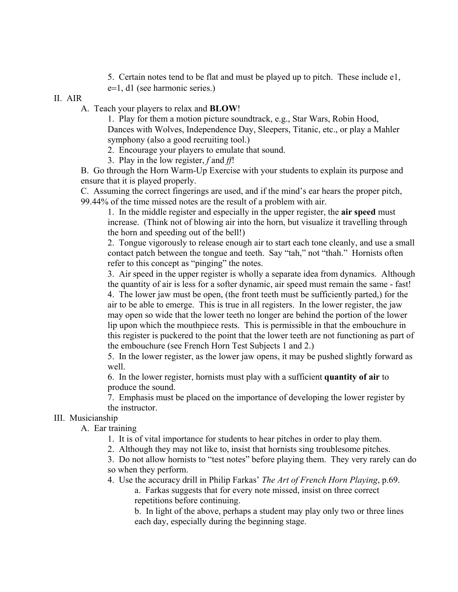5. Certain notes tend to be flat and must be played up to pitch. These include e1, e=1, d1 (see harmonic series.)

#### II. AIR

A. Teach your players to relax and **BLOW**!

 1. Play for them a motion picture soundtrack, e.g., Star Wars, Robin Hood, Dances with Wolves, Independence Day, Sleepers, Titanic, etc., or play a Mahler symphony (also a good recruiting tool.)

2. Encourage your players to emulate that sound.

3. Play in the low register, *f* and *ff*!

 B. Go through the Horn Warm-Up Exercise with your students to explain its purpose and ensure that it is played properly.

 C. Assuming the correct fingerings are used, and if the mind's ear hears the proper pitch, 99.44% of the time missed notes are the result of a problem with air.

1. In the middle register and especially in the upper register, the **air speed** must increase. (Think not of blowing air into the horn, but visualize it travelling through the horn and speeding out of the bell!)

2. Tongue vigorously to release enough air to start each tone cleanly, and use a small contact patch between the tongue and teeth. Say "tah," not "thah." Hornists often refer to this concept as "pinging" the notes.

3. Air speed in the upper register is wholly a separate idea from dynamics. Although the quantity of air is less for a softer dynamic, air speed must remain the same - fast! 4. The lower jaw must be open, (the front teeth must be sufficiently parted,) for the air to be able to emerge. This is true in all registers. In the lower register, the jaw may open so wide that the lower teeth no longer are behind the portion of the lower lip upon which the mouthpiece rests. This is permissible in that the embouchure in this register is puckered to the point that the lower teeth are not functioning as part of the embouchure (see French Horn Test Subjects 1 and 2.)

5. In the lower register, as the lower jaw opens, it may be pushed slightly forward as well.

6. In the lower register, hornists must play with a sufficient **quantity of air** to produce the sound.

7. Emphasis must be placed on the importance of developing the lower register by the instructor.

## III. Musicianship

A. Ear training

1. It is of vital importance for students to hear pitches in order to play them.

2. Although they may not like to, insist that hornists sing troublesome pitches.

3. Do not allow hornists to "test notes" before playing them. They very rarely can do so when they perform.

4. Use the accuracy drill in Philip Farkas' *The Art of French Horn Playing*, p.69. a. Farkas suggests that for every note missed, insist on three correct repetitions before continuing.

b. In light of the above, perhaps a student may play only two or three lines each day, especially during the beginning stage.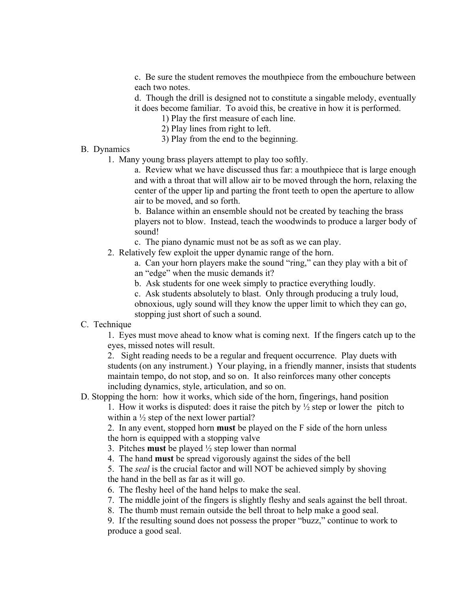c. Be sure the student removes the mouthpiece from the embouchure between each two notes.

d. Though the drill is designed not to constitute a singable melody, eventually it does become familiar. To avoid this, be creative in how it is performed.

- 1) Play the first measure of each line.
- 2) Play lines from right to left.
- 3) Play from the end to the beginning.
- B. Dynamics
	- 1. Many young brass players attempt to play too softly.

a. Review what we have discussed thus far: a mouthpiece that is large enough and with a throat that will allow air to be moved through the horn, relaxing the center of the upper lip and parting the front teeth to open the aperture to allow air to be moved, and so forth.

b. Balance within an ensemble should not be created by teaching the brass players not to blow. Instead, teach the woodwinds to produce a larger body of sound!

- c. The piano dynamic must not be as soft as we can play.
- 2. Relatively few exploit the upper dynamic range of the horn.

a. Can your horn players make the sound "ring," can they play with a bit of an "edge" when the music demands it?

b. Ask students for one week simply to practice everything loudly.

c. Ask students absolutely to blast. Only through producing a truly loud, obnoxious, ugly sound will they know the upper limit to which they can go, stopping just short of such a sound.

#### C. Technique

1. Eyes must move ahead to know what is coming next. If the fingers catch up to the eyes, missed notes will result.

2. Sight reading needs to be a regular and frequent occurrence. Play duets with students (on any instrument.) Your playing, in a friendly manner, insists that students maintain tempo, do not stop, and so on. It also reinforces many other concepts including dynamics, style, articulation, and so on.

#### D. Stopping the horn: how it works, which side of the horn, fingerings, hand position

1. How it works is disputed: does it raise the pitch by  $\frac{1}{2}$  step or lower the pitch to within a  $\frac{1}{2}$  step of the next lower partial?

 2. In any event, stopped horn **must** be played on the F side of the horn unless the horn is equipped with a stopping valve

- 3. Pitches **must** be played ½ step lower than normal
- 4. The hand **must** be spread vigorously against the sides of the bell

 5. The *seal* is the crucial factor and will NOT be achieved simply by shoving the hand in the bell as far as it will go.

6. The fleshy heel of the hand helps to make the seal.

- 7. The middle joint of the fingers is slightly fleshy and seals against the bell throat.
- 8. The thumb must remain outside the bell throat to help make a good seal.

9. If the resulting sound does not possess the proper "buzz," continue to work to produce a good seal.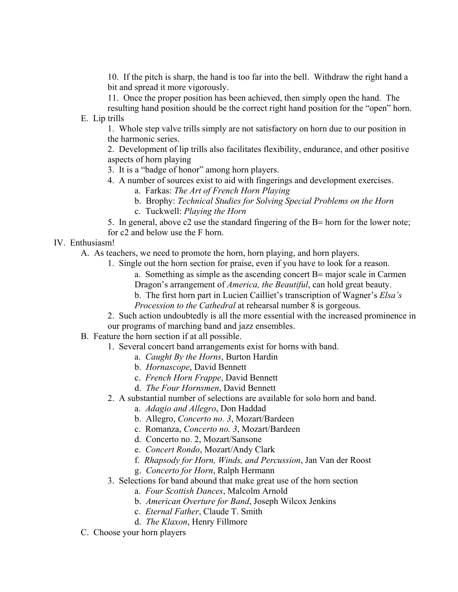10. If the pitch is sharp, the hand is too far into the bell. Withdraw the right hand a bit and spread it more vigorously.

11. Once the proper position has been achieved, then simply open the hand. The

resulting hand position should be the correct right hand position for the "open" horn. E. Lip trills

1. Whole step valve trills simply are not satisfactory on horn due to our position in the harmonic series.

2. Development of lip trills also facilitates flexibility, endurance, and other positive aspects of horn playing

3. It is a "badge of honor" among horn players.

- 4. A number of sources exist to aid with fingerings and development exercises.
	- a. Farkas: *The Art of French Horn Playing*
	- b. Brophy: *Technical Studies for Solving Special Problems on the Horn* c. Tuckwell: *Playing the Horn*

5. In general, above c2 use the standard fingering of the B= horn for the lower note; for c2 and below use the F horn.

#### IV. Enthusiasm!

A. As teachers, we need to promote the horn, horn playing, and horn players.

- 1. Single out the horn section for praise, even if you have to look for a reason. a. Something as simple as the ascending concert B= major scale in Carmen Dragon's arrangement of *America, the Beautiful*, can hold great beauty. b. The first horn part in Lucien Cailliet's transcription of Wagner's *Elsa's Procession to the Cathedral* at rehearsal number 8 is gorgeous.
- 2. Such action undoubtedly is all the more essential with the increased prominence in our programs of marching band and jazz ensembles.
- B. Feature the horn section if at all possible.
	- 1. Several concert band arrangements exist for horns with band.
		- a. *Caught By the Horns*, Burton Hardin
		- b. *Hornascope*, David Bennett
		- c. *French Horn Frappe*, David Bennett
		- d. *The Four Hornsmen*, David Bennett
	- 2. A substantial number of selections are available for solo horn and band.
		- a. *Adagio and Allegro*, Don Haddad
		- b. Allegro, *Concerto no. 3*, Mozart/Bardeen
		- c. Romanza, *Concerto no. 3*, Mozart/Bardeen
		- d. Concerto no. 2, Mozart/Sansone
		- e. *Concert Rondo*, Mozart/Andy Clark
		- f. *Rhapsody for Horn, Winds, and Percussion*, Jan Van der Roost
		- g. *Concerto for Horn*, Ralph Hermann
	- 3. Selections for band abound that make great use of the horn section
		- a. *Four Scottish Dances*, Malcolm Arnold
		- b. *American Overture for Band*, Joseph Wilcox Jenkins
		- c. *Eternal Father*, Claude T. Smith
		- d. *The Klaxon*, Henry Fillmore
- C. Choose your horn players